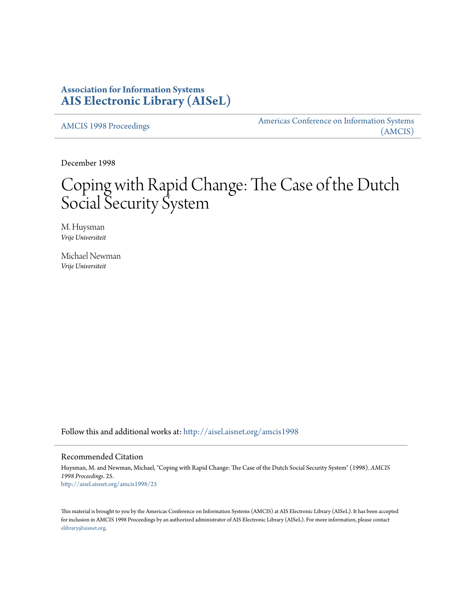## **Association for Information Systems [AIS Electronic Library \(AISeL\)](http://aisel.aisnet.org?utm_source=aisel.aisnet.org%2Famcis1998%2F25&utm_medium=PDF&utm_campaign=PDFCoverPages)**

[AMCIS 1998 Proceedings](http://aisel.aisnet.org/amcis1998?utm_source=aisel.aisnet.org%2Famcis1998%2F25&utm_medium=PDF&utm_campaign=PDFCoverPages)

[Americas Conference on Information Systems](http://aisel.aisnet.org/amcis?utm_source=aisel.aisnet.org%2Famcis1998%2F25&utm_medium=PDF&utm_campaign=PDFCoverPages) [\(AMCIS\)](http://aisel.aisnet.org/amcis?utm_source=aisel.aisnet.org%2Famcis1998%2F25&utm_medium=PDF&utm_campaign=PDFCoverPages)

December 1998

# Coping with Rapid Change: The Case of the Dutch Social Security System

M. Huysman *Vrije Universiteit*

Michael Newman *Vrije Universiteit*

Follow this and additional works at: [http://aisel.aisnet.org/amcis1998](http://aisel.aisnet.org/amcis1998?utm_source=aisel.aisnet.org%2Famcis1998%2F25&utm_medium=PDF&utm_campaign=PDFCoverPages)

#### Recommended Citation

Huysman, M. and Newman, Michael, "Coping with Rapid Change: The Case of the Dutch Social Security System" (1998). *AMCIS 1998 Proceedings*. 25. [http://aisel.aisnet.org/amcis1998/25](http://aisel.aisnet.org/amcis1998/25?utm_source=aisel.aisnet.org%2Famcis1998%2F25&utm_medium=PDF&utm_campaign=PDFCoverPages)

This material is brought to you by the Americas Conference on Information Systems (AMCIS) at AIS Electronic Library (AISeL). It has been accepted for inclusion in AMCIS 1998 Proceedings by an authorized administrator of AIS Electronic Library (AISeL). For more information, please contact [elibrary@aisnet.org.](mailto:elibrary@aisnet.org%3E)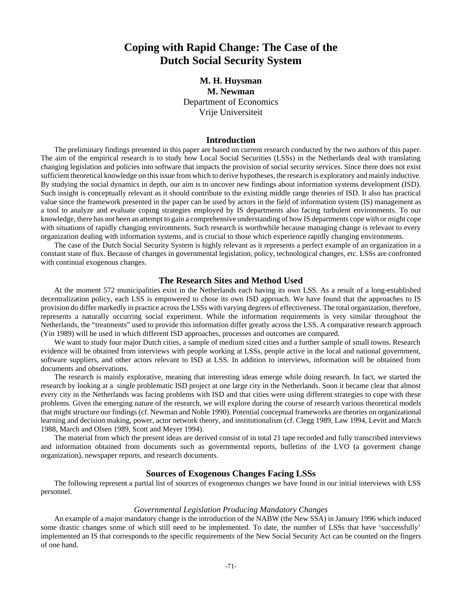## **Coping with Rapid Change: The Case of the Dutch Social Security System**

### **M. H. Huysman M. Newman** Department of Economics Vrije Universiteit

#### **Introduction**

The preliminary findings presented in this paper are based on current research conducted by the two authors of this paper. The aim of the empirical research is to study how Local Social Securities (LSSs) in the Netherlands deal with translating changing legislation and policies into software that impacts the provision of social security services. Since there does not exist sufficient theoretical knowledge on this issue from which to derive hypotheses, the research is exploratory and mainly inductive. By studying the social dynamics in depth, our aim is to uncover new findings about information systems development (ISD). Such insight is conceptually relevant as it should contribute to the existing middle range theories of ISD. It also has practical value since the framework presented in the paper can be used by actors in the field of information system (IS) management as a tool to analyze and evaluate coping strategies employed by IS departments also facing turbulent environments. To our knowledge, there has not been an attempt to gain a comprehensive understanding of how IS departments cope with or might cope with situations of rapidly changing environments. Such research is worthwhile because managing change is relevant to every organization dealing with information systems, and is crucial to those which experience rapidly changing environments.

The case of the Dutch Social Security System is highly relevant as it represents a perfect example of an organization in a constant state of flux. Because of changes in governmental legislation, policy, technological changes, etc. LSSs are confronted with continual exogenous changes.

#### **The Research Sites and Method Used**

At the moment 572 municipalities exist in the Netherlands each having its own LSS. As a result of a long-established decentralization policy, each LSS is empowered to chose its own ISD approach. We have found that the approaches to IS provision do differ markedly in practice across the LSSs with varying degrees of effectiveness. The total organization, therefore, represents a naturally occurring social experiment. While the information requirements is very similar throughout the Netherlands, the "treatments" used to provide this information differ greatly across the LSS. A comparative research approach (Yin 1989) will be used in which different ISD approaches, processes and outcomes are compared.

We want to study four major Dutch cities, a sample of medium sized cities and a further sample of small towns. Research evidence will be obtained from interviews with people working at LSSs, people active in the local and national government, software suppliers, and other actors relevant to ISD at LSS. In addition to interviews, information will be obtained from documents and observations.

The research is mainly explorative, meaning that interesting ideas emerge while doing research. In fact, we started the research by looking at a single problematic ISD project at one large city in the Netherlands. Soon it became clear that almost every city in the Netherlands was facing problems with ISD and that cities were using different strategies to cope with these problems. Given the emerging nature of the research, we will explore during the course of research various theoretical models that might structure our findings (cf. Newman and Noble 1990). Potential conceptual frameworks are theories on organizational learning and decision making, power, actor network theory, and institutionalism (cf. Clegg 1989, Law 1994, Levitt and March 1988, March and Olsen 1989, Scott and Meyer 1994).

The material from which the present ideas are derived consist of in total 21 tape recorded and fully transcribed interviews and information obtained from documents such as governmental reports, bulletins of the LVO (a goverment change organization), newspaper reports, and research documents.

#### **Sources of Exogenous Changes Facing LSSs**

The following represent a partial list of sources of exogeneous changes we have found in our initial interviews with LSS personnel.

#### *Governmental Legislation Producing Mandatory Changes*

An example of a major mandatory change is the introduction of the NABW (the New SSA) in January 1996 which induced some drastic changes some of which still need to be implemented. To date, the number of LSSs that have 'successfully' implemented an IS that corresponds to the specific requirements of the New Social Security Act can be counted on the fingers of one hand.